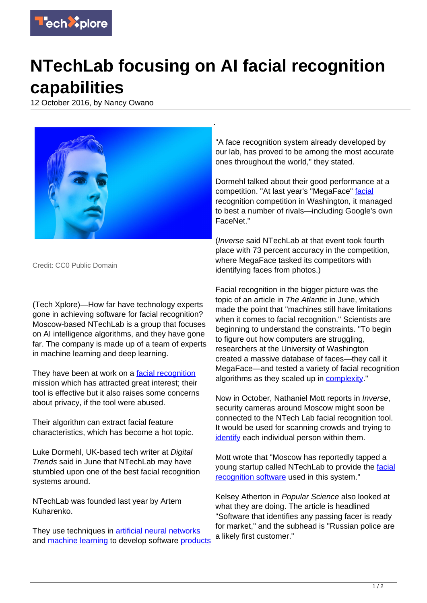

## **NTechLab focusing on AI facial recognition capabilities**

12 October 2016, by Nancy Owano



Credit: CC0 Public Domain

(Tech Xplore)—How far have technology experts gone in achieving software for facial recognition? Moscow-based NTechLab is a group that focuses on AI intelligence algorithms, and they have gone far. The company is made up of a team of experts in machine learning and deep learning.

They have been at work on a [facial recognition](https://techxplore.com/tags/facial+recognition/) mission which has attracted great interest; their tool is effective but it also raises some concerns about privacy, if the tool were abused.

Their algorithm can extract facial feature characteristics, which has become a hot topic.

Luke Dormehl, UK-based tech writer at Digital Trends said in June that NTechLab may have stumbled upon one of the best facial recognition systems around.

NTechLab was founded last year by Artem Kuharenko.

They use techniques in [artificial neural networks](https://techxplore.com/tags/artificial+neural+networks/) and [machine learning](https://techxplore.com/tags/machine+learning/) to develop software [products](http://ntechlab.com/)

"A face recognition system already developed by our lab, has proved to be among the most accurate ones throughout the world," they stated.

Dormehl talked about their good performance at a competition. "At last year's "MegaFace" [facial](http://www.digitaltrends.com/cool-tech/ntechlab-facial-recognition-algorithm/) recognition competition in Washington, it managed to best a number of rivals—including Google's own FaceNet."

(Inverse said NTechLab at that event took fourth place with 73 percent accuracy in the competition, where MegaFace tasked its competitors with identifying faces from photos.)

Facial recognition in the bigger picture was the topic of an article in The Atlantic in June, which made the point that "machines still have limitations when it comes to facial recognition." Scientists are beginning to understand the constraints. "To begin to figure out how computers are struggling, researchers at the University of Washington created a massive database of faces—they call it MegaFace—and tested a variety of facial recognition algorithms as they scaled up in **[complexity](http://www.theatlantic.com/technology/archive/2016/06/machine-face/488969/)**."

Now in October, Nathaniel Mott reports in Inverse, security cameras around Moscow might soon be connected to the NTech Lab facial recognition tool. It would be used for scanning crowds and trying to [identify](https://www.inverse.com/article/22055-ntechlab-facial-recognition-tech-future-policing) each individual person within them.

Mott wrote that "Moscow has reportedly tapped a young startup called NTechLab to provide the [facial](https://techxplore.com/tags/facial+recognition+software/) [recognition software](https://techxplore.com/tags/facial+recognition+software/) used in this system."

Kelsey Atherton in Popular Science also looked at what they are doing. The article is headlined "Software that identifies any passing facer is ready for market," and the subhead is "Russian police are a likely first customer."